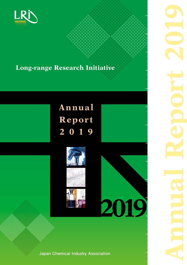

## **Long-range Research Initiative**

# **Annual t Repor 9 1 0 2**



**Japan Chemical Industry Association** 

**2019**

**2019 Report Annual**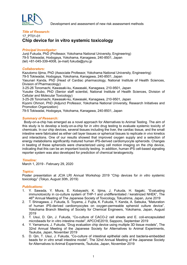

Development and assessment of new risk assessment methods

### **Title of Research:** 17 PT01-01 **Chip device for in vitro systemic toxicology**

#### **Principal Investigator:**

Junii Fukuda, PhD (Professor, Yokohama National University, Engineering) 79-5 Tokiwadai, Hodogaya, Yokohama, Kanagawa, 240-8501, Japan (tel) +81-045-339-4008, (e-mail) fukuda@ynu.jp

#### *:Collaborators*

Kazutomo lijima, PhD (Associate Professor, Yokohama National University, Engineering) 79-5 Tokiwadai, Hodogaya, Yokohama, Kanagawa, 240-8501, Japan Yasunari Kanda, PhD (Head of Cardiac pharmacology, National Institute of Health Sciences, Division of Pharmacology) 3-25-26 Tonomachi, Kawasaki-ku, Kawasaki, Kanagawa, 210-9501, Japan Yusuke Okubo, PhD (Senior staff scientist, National Institute of Health Sciences, Division of Cellular and Molecular Toxicology) 3-25-26 Tonomachi, Kawasaki-ku, Kawasaki, Kanagawa, 210-9501, Japan Kiyomi Ohmori, PhD (Adjunct Professor, Yokohama National University, Research Initiatives and Promotion Organization) 79-5 Tokiwadai, Hodogaya, Yokohama, Kanagawa, 240-8501, Japan

#### **Summary of Research:**

Body-on-a-chip has emerged as a novel approach for Alternatives to Animal Testing. The aim of this study is to develop a body-on-a-chip for *in vitro* drug testing to evaluate systemic toxicity of chemicals. In our chip devices, several tissues including the liver, the cardiac tissue, and the small intestine were fabricated as either cell layer tissues or spherical tissues to replicate in vivo kinetics and interactions. One of our results showed that improved oxygen supply and a selection of energy metabolisms significantly matured human iPS-derived cardiomyocyte spheroids. Changes in beating of these spheroids were characterized using cell motion imaging on the chip device, indicating that this can be an important toxicity testing. In addition, human iPS cell-based signaling reporter system was also developed for prediction of chemical teratogenicity.

#### *:Timeline*

March 1, 2019 - February 29, 2020

#### *:Topics*

Poster presentation at JCIA LRI Annual Workshop 2019 "Chip devices for *in vitro* systemic toxicology" (Tokyo, August 30th, 2019)

- 1. Y. Sawada, Y. Miura, E. Kobayashi, K. lijima, J. Fukuda, H. Itagaki, "Evaluating immunotoxicity in co-culture system of THP-1 and undifferentiated / keratinized NHEK", The 46<sup>th</sup> Annual Meeting of The Japanese Society of Toxicology, Tokushima, Japan, June 2019
- 2. T. Shinagawa, J. Fukuda, S. Toyama, J. Fujita, K. Fukuda, Y. Kanda, A. Satsuka, "Maturation of human iPS-derived cardiomyocytes on oxygen-permeable spheroid culture device", Yokohama Branch Meeting of Society for Chemical Engineers, Yokohama, Japan, August 2019
- 3. T. Usui, D. Qin, J. Fukuda, "Co-culture of CACO-2 cell sheets and E. coli-encapsulated microbeads for in vitro intestine model", APCChE2019, Sapporo, September 2019
- 4. Y. Yamamura, J. Fukuda, "Drug evaluation chip device using multiple 3D tissue models", The 32nd Annual Meeting of the Japanese Society for Alternatives to Animal Experiments, Tsukuba, Japan, November 2019
- 5. D. Qin, T. Usui, J. Fukuda, "Co-culture of intestinal epithelial cells and bacteria-embedded beads for *in vitro* small intestine model". The 32nd Annual Meeting of the Japanese Society for Alternatives to Animal Experiments, Tsukuba, Japan, November 2019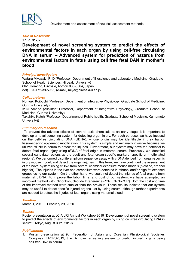

#### **Title of Research:**

17 PT01-02

Development of novel screening system to predict the effects of environmental factors in each organ by using cell-free circulating  **from hazards of prediction for prediction of hazards from**  $\overline{a}$ **environmental factors in fetus using cell free fetal DAN in mother's blood**

#### **Principal Investigator:**

Wataru Miyazaki, PhD (Professor, Department of Bioscience and Laboratory Medicine, Graduate School of Health Sciences, Hirosaki University) 66-1 Hon-cho, Hirosaki, Aomori 036-8564, Japan  $(tel) +81-172-39-5955$ , (e-mail) miva@hirosaki-u.ac.ip

#### *:Collaborators*

Noriyuki Koibuchi (Professor, Department of Integrative Physiology, Graduate School of Medicine, Gunma University)

Izuki Amano (Assistant Professor, Department of Integrative Physiology, Graduate School of Medicine, Gunma University)

Takahiko Katoh (Professor, Department of Public health, Graduate School of Medicine, Kumamoto (University)

#### **Summary of Research:**

To prevent the adverse effects of several toxic chemicals at an early stage, it is important to develop a novel screening system for detecting organ injury. For such purpose, we have focused on the cell-free circulating DNA (cfDNA), whose origin may be identifiable if they harbor tissue-specific epigenetic modification. This system is simple and minimally invasive because we utilized cfDNA in serum to detect the injuries. Furthermore, our system may have the potential to detect fetal organ injury using cfDNA of fetal origin in maternal serum. Previously, we identified several candidate regions as the adult and fetal organ-specific markers (specific un-methylated regions). We performed bisulfite amplicon sequence assay with cfDNA derived from organ-specific injury mouse model, and detect the organ injuries. In this term, we have continued the assessment of the novel system using cfDNA from several chemical-exposure mouse models (nicotine, ethanol, high fat). The injuries in the liver and cerebellum were detected in ethanol and/or high fat exposed groups using our system. On the other hand, we could not detect the injuries of fetal organs from maternal cfDNA. To improve the labor, time, and cost of our system, we have attempted an improved method with Oligoribonucleotide Interference-PCR (ORNi-PCR). Both the cost and time of the improved method were smaller than the previous. These results indicate that our system may be useful to detect specific injured organs just by using serum, although further experiments are needed to detect the injuries of fetal organs using maternal blood.

#### *:Timeline*

March 1, 2019 - February 29, 2020

#### *:Topics*

Poster presentation at JCIA LRI Annual Workshop 2019 "Development of novel screening system to predict the effects of environmental factors in each organ by using cell-free circulating DNA in serum" (Tokyo, August 30th, 2019)

#### *:Publications*

1. Poster presentation at 9th Federation of Asian and Oceanian Physiological Societies Congress: FAOPS2019, title: A novel screening system to predict injured organs using cell-free-DNA in serum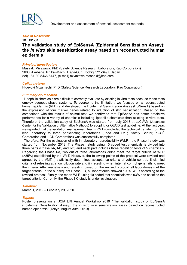

#### **Title of Research:**

## 18 S01-01 **The validation study of EpiSensA (Epidermal Sensitization Assay); the in vitro skin sensitization assay based on reconstructed human epidermis**

#### **Principal Investigator:**

Masaaki Miyazawa, PhD (Safety Science Research Laboratory, Kao Corporation) 2606, Akabane, Ichikai-Machi, Haga-Gun, Tochigi 321-3497, Japan  $(tel) +81-80-8466-6147$ , (e-mail) miyazawa.masaaki@kao.com

#### *:Collaborators*

Hidevuki Mizumachi, PhD (Safety Science Research Laboratory, Kao Corporation)

#### **Summary of Research:**

Lipophilic chemicals are difficult to correctly evaluate by existing in vitro tests because these tests employ aqueous-phase systems. To overcome the limitation, we focused on a reconstructed human epidermis (RhE) and developed the Epidermal Sensitization Assay (EpiSensA) based on the expression of four marker genes related to induction of skin sensitization. Based on the comparison with the results of animal test, we confirmed that EpiSensA has better predictive performance for a variety of chemicals including lipophilic chemicals than existing in vitro tests. Therefore, the validation study of EpiSensA was started from July 2018 at JaCVAM (Japanese Center for the Validation of Alternative Methods) to adopt it for OECD test quideline. At the last year, we reported that the validation management team (VMT) concluded the technical transfer from the lead laboratory to three participating laboratories (Food and Drug Safety Center, KOSÉ Corporation and LION Corporation) was successfully completed.

Therefore. For the evaluation of with-in laboratory reproducibility (WLR), the Phase I study was started from November 2018. The Phase I study using 15 coded test chemicals is divided into three parts (Phase I-A, I-B, and I-C) and each part includes three repetition tests of 5 chemicals. Regarding the Phase I-A, two out of three laboratories didn't meet the target criteria of WLR  $($ >85%) established by the VMT. However, the following points of the protocol were revised and agreed by the VMT; i) statistically determined acceptance criteria of vehicle control, ii) clarified criteria of retesting at a low dilution rate and iii) retesting when internal control gene fails to meet the criteria. After reanalysis and retesting based on the revised protocol, all laboratories met the target criteria. In the subsequent Phase I-B, all laboratories showed 100% WLR according to the revised protocol. Finally, the mean WLR using 10 coded test chemicals was 93% and satisfied the target criteria. Currently, the Phase I-C study is under-evaluation.

#### *:Timeline*

March 1, 2019 - February 29, 2020

#### *:Topics*

Poster presentation at JCIA LRI Annual Workshop 2019 "The validation study of EpiSensA (Epidermal Sensitization Assay); the in vitro skin sensitization assay based on reconstructed human epidermis" (Tokyo, August 30th, 2019)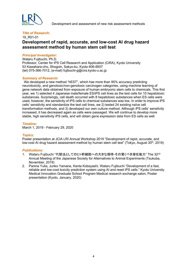

Development and assessment of new risk assessment methods

#### **Title of Research:**

## 19 R01-01 **Development of rapid, accurate, and low-cost AI drug hazard** assessment method by human stem cell test

#### **Principal Investigator:**

Wataru Fujibuchi, Ph.D. Professor, Center for iPS Cell Research and Application (CiRA), Kyoto University 53 Kawahara-cho, Shogoin, Sakyo-ku, Kyoto 606-8507 (tel) 075-366-7012, (e-mail) fujibuchi-g@cira.kyoto-u.ac.jp

#### **Summary of Research:**

We developed a new method "hEST", which has more than 95% accuracy predicting neurotoxicity, and genotoxic/non-genotoxic carcinogen categories, using machine learning of gene network data obtained from exposure of human embryonic stem cells to chemicals. This first year, we 1) selected 4 Japanese male/female ES/iPS cell lines as the test cells for 10 hepatotoxic substances. Surprisingly, cell death occurred with 8 hepatotoxic substances when ES cells were used, however, the sensitivity of iPS cells to chemical substances was low. In order to improve iPS cells' sensitivity and standardize the test cell lines, we 2) tested 24 existing naïve cell transformation methods, and 3) developed our own culture method. Although iPS cells' sensitivity increased, it has decreased again as cells were passaged. We will continue to develop more stable, high sensitivity iPS cells, and will obtain gene expression data from ES cells as well.

#### *:Timeline*

March 1, 2019 - February 29, 2020

#### *:Topics*

Poster presentation at JCIA LRI Annual Workshop 2019 "Development of rapid, accurate, and low-cost AI drug hazard assessment method by human stem cell test" (Tokyo, August 30<sup>th</sup>, 2019)

- 1. Wataru Fujibuchi "代替法としてのヒト幹細胞への大きな期待-その驚くべき潜在能力" The 32nd Annual Meeting of the Japanese Society for Alternatives to Animal Experiments (Tsukuba. November, 2019)
- 2. Panina Yulia, Junko Yamane, Kenta Kobayashi, Wataru Fujibuchi "Development of a fast, reliable and low-cost toxicity prediction system using AI and reset iPS cells." Kyoto University Medical Innovation Graduate School Program Medical research exchange salon, Poster presentation (Kyoto, January, 2020)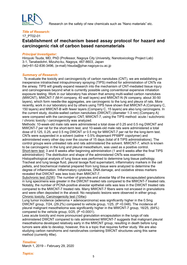

Research on the safety of new chemicals such as "Nano materials" etc.

#### **Title of Research:**

## 17 PT02-01 **Establishment of mechanism based assay protocol for hazard and carcinogenic risk of carbon based nanomaterials**

#### **Principal Investigator:**

Hiroyuki Tsuda, MD, PhD (Professor, Nagoya City University, Nanotoxicology Project Lab) 3-1, Tanabedohri, Mizuho-ku, Nagoya, 467-8603, Japan  $(tel)+81-52-836-3496$ , (e-mail) htsuda@phar.nagoya-cu.ac.jp

#### **Summary of Research:**

To evaluate the toxicity and carcinogenicity of carbon nanotubes (CNT), we are establishing an inexpensive intratracheal intrapulmonary spraying (TIPS) method for administration of CNTs via the airway. TIPS will greatly expand research into the mechanism of CNT-mediated tissue injury and carcinogenesis beyond what is currently possible using conventional expensive inhalation exposure testing. Work in our laboratory has shown that among multi-walled carbon nanotubes (MWCNT), MWCNT-7 (M-H company, 40 wall layers) and MWCNT-N (N company, about 30-50 layers), which form needle-like aggregates, are carcinogenic to the lung and pleura of rats. More recently, work in our laboratory and by others using TIPS have shown that MWCNT-A (Company C. 150 layers) and MWCNT-B with fewer layers (Company C, 15 layers) are also lung carcinogens. In (A current study, double-walled carbon nanotubes (DWCNT) (diameter 1-3 nm) (Company A) were compared with the carcinogenic CNT, MWCNT-7, using the TIPS method: acute / subchronic  $\prime$  chronic toxicity  $\prime$  carcinogenicity was analyzed.

Methods: 10-week-old male rats were administered a total dose of 0.25 and 0.5 mg DWCNT and MWCNT-7 per rat for the short-term test, and 10-week-old male rats were administered a total dose of 0.125, 0.25, and 0.5 mg DWCNT or 0.5 mg for MWCNT-7 per rat for the long-term test. CNTs were suspended in a solvent (saline  $+$  0.5% dispersant PF68PF copolymer) and administered every other day over the course of 15 days (total of 8 TIPS administrations). The control groups were untreated rats and rats administered the solvent. MWCNT-7, which is known to be carcinogenic in the lung and pleural mesothelium, was used as a positive control. Short-term test: 3 and 8 weeks after beginning administration (1 and 6 weeks after the final TIPS administration): The distribution and shape of the administered CNTs was examined. Histopathological analysis of lung tissue was performed to determine lung tissue pathology. Tracheal and lung lavage fluid, pleural lavage fluid supernatant, inflammatory markers in the cell

pellets, and biochemical material prepared from lung tissue were analyzed to determine the degree of inflammation. Inflammatory cytokines, DNA damage, and oxidative stress markers revealed that DWCNT was less toxic than MWCNT-7.

Subchronic test (52W): The number of granules and alveolar Mo of the encapsulated granulations in lung specimens was greater in the DWCNT treated rats compared to the MWCNT-7 treated rats. Notably, the number of PCNA-positive alveolar epithelial cells was less in the DWCNT treated rats compared to the MWCNT-7 treated rats. Many MWCNT-7 fibers were not encased in granulations and were often deposited in the alveoli. No neoplastic lesions were observed in either group. Chronic toxicity. Carcinogenicity test (104w):

Lung tumor incidence (adenoma + adenocarcinoma) was significantly higher in the  $0.5mg$ DWCNT group,  $7/24$ ,  $(29.2%)$  compared to vehicle group,  $1/25$ ,  $(P \le 0.048)$ . The incidence of pleural malignant mesothelioma was significantly higher in the MWCNT-7 group,  $16/25$ ,  $(64%)$ compared to the vehicle group,  $0/25$ ,  $(P < 0.0001)$ .

Less acute toxicity and more pronounced granulation encapsulation in the lungs of rats administered DWCNT compared to rats administered MWCNT-7 suggests that malignant pleural mesothelioma developed relatively early in the MWCNT group, resulting in death before lung tumors were able to develop, however, this is a topic that requires further study. We are also studying carbon nanohorns and nanobrushes containing SWCNT structures using this same method (currently 46w).

#### *:Timeline*

March 1, 2019 - February 29, 2020

## 5 *:Topics*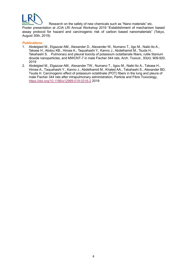

Research on the safety of new chemicals such as "Nano materials" etc.

Poster presentation at JCIA LRI Annual Workshop 2019 "Establishment of mechanism based assay protocol for hazard and carcinogenic risk of carbon based nanomaterials" (Tokyo, August 30th, 2019)

- 1. Abdelgied M., Elgazzar AM., Alexander D., Alexander W., Numano T., Iigo M., Naiki-Ito A., Takase H., Abdou KB., Hirose A., Taquahashi Y., Kanno J., Abdelhamid M., Tsuda H., Takahashi S. Pulmonary and pleural toxicity of potassium octatitanate fibers, rutile titanium dioxide nanoparticles, and MWCNT-7 in male Fischer 344 rats, Arch. Toxicol., 93(4): 909-920, 2019
- 2. Abdelgied M., Elgazzar AM., Alexander TW., Numano T., ligou M., Naiki-Ito A., Takase H., Hirose A., Taquahashi Y., Kanno J., Abdelhamid M., Khaled AA., Takahashi S., Alexander BD, Tsuda H. Carcinogenic effect of potassium octatitnate (POT) fibers in the lung and pleura of male Fischer 344 rats after intrapulmonary administration, Particle and Fibre Toxicology, https://doi.org/10.1186/s12989-019-0316-2 2019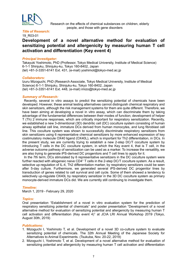

Research on the effects of chemical substances on children, elderly people, and those with gene disorders

#### **Title of Research:**

#### 19 R03-01

## Development of a novel alternative method for evaluation of sensitizing potential and allergenicity by measuring human T cell **activation and differentiation (Key event 4)**

#### **Principal Investigator:**

Takayuki Yoshimoto, PhD (Professor, Tokyo Medical University, Institute of Medical Science) 6-1-1 Shinjuku, Shinjuku-ku, Tokyo 160-8402, Japan (tel) +81-3-3351-6141 Ext. 431, (e-mail) yoshimot@tokyo-med.ac.jp

#### *:Collaborators*

Izuru Mizoguchi, PhD (Research Associate, Tokyo Medical University, Institute of Medical Science) 6-1-1 Shinjuku, Shinjuku-ku, Tokyo 160-8402, Japan  $(tel) +81-3-3351-6141$  Ext. 448,  $(e-mail)$  imizo $@$ tokyo-med.ac.ip

#### **Summary of Research:**

Recently, several in vitro assays to predict the sensitizing potential of chemicals have been developed. However, these animal testing alternatives cannot distinguish chemical respiratory and skin sensitizers, although the risk management systems for them are quite different. Therefore, we have been aiming at developing a novel in vitro assay, which can discriminate them by taking advantage of the fundamental differences between their modes of function: development of helper T (Th) 2 immune responses, which are critically important for respiratory sensitization. Recently, we established a new 3-dimentional (3D) dendritic cell (DC) coculture system consisting of human airway epithelial cell line, immature DCs derived from human monocytes, and lung fibroblast cell line. This coculture system was shown to successfully discriminate respiratory sensitizers from skin sensitizers using 6 representative chemical sensitizers by more enhanced expression of key costimulatory molecule OX40 ligand (OX40L), which is important for Th2 differentiation, in DCs. In the present study, we are currently trying to establish a new 2-step DC/T coculture system by introducing  $T$  cells in the DC coculture system, in which the Key event 4, that is  $T$  cell, in the adverse outcome pathway of sensitization can be used as a marker. To increase the versatility, we are also trying to generate iPS-derived DC progenitors and T cell lines to apply for it.

In the 7th term. DCs stimulated by 6 representative sensitizers in the DC coculture system were further reacted with allogeneic naive CD4+ T cells in the 2-step DC/T coculture system. As a result, selective up-regulation of IL-4, Th2 differentiation marker, by respiratory sensitizers could be seen after 5-day culture. Furthermore, we generated several iPS-derived DC progenitor lines by transduction of genes related to cell survival and cell cycle. Some of them showed a tendency to selectively up-regulate OX40L by respiratory sensitizer in the 3D DC coculture system as primary monocyte-derived immature DCs did. We are currently still continuing to investigate them.

#### *:Timeline*

March 1, 2019 - February 29, 2020

#### *:Topics*

Oral presentation "Establishment of a novel in vitro evaluation system for the prediction of respiratory sensitizing potential of chemicals" and poster presentation "Development of a novel alternative method for evaluation of sensitizing potential and allergenicity by measuring human T cell activation and differentiation (Key event 4)" at JCIA LRI Annual Workshop 2019 (Tokyo, August 30th, 2019)

- 1. Mizoguchi I, Yoshimoto T, et al. Development of a novel 3D co-culture system to evaluate sensitizing potential of chemicals. The 32th Annual Meeting of the Japanese Society for Alternatives to Animal Experiments. (Tsukuba, Nov. 20-22, 2019)
- 2. Mizoguchi I. Yoshimoto T. et al. Development of a novel alternative method for evaluation of sensitizing potential and allergenicity by measuring human T cell activation and differentiation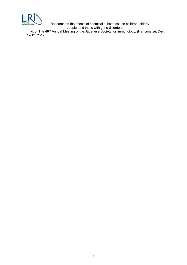

Research on the effects of chemical substances on children, elderly people, and those with gene disorders

in vitro. The 48<sup>th</sup> Annual Meeting of the Japanese Society for Immunology. (Hamamatsu, Dec.  $(12-13, 2019)$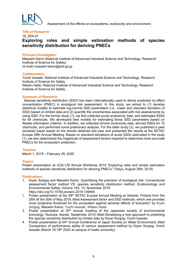

Assessment of the effects on ecosystems, ecotoxicity and environment.

#### **Title of Research:**

#### 18 S04-01

## **Exploring roles and simple estimation methods of species Sensitivity distribution for deriving PNECs**

#### **Principal Investigator:**

Masashi Kamo (National Institute of Advanced Industrial Science and Technology. Research Institute of Science for Safety)  $(e$ -mail) masashi-kamo@aist.go.jp

#### *:Collaborators*

Yuichi Iwasaki. National Institute of Advanced Industrial Science and Technology. Research Institute of Science for Safety

Wataru Naito. National Institute of Advanced Industrial Science and Technology. Research Institute of Science for Safety

#### **Summary of Research:**

Species sensitivity distribution (SSD) has been internationally used to derive predicted no effect concentration (PNEC) in ecological risk assessment. In this study, we aimed to (1) develop statistical models to estimate log-normal SSD parameters (i.e., mean and standard deviation of SSD) based on limited data and (2) quantify the uncertainties associated with risk assessments by using SSD. For the former study (1), we first collected acute ecotoxicity data, and estimated SSDs for 64 chemicals. We developed best models for estimating those SSD parameters based on Akaike information criterion. In addition, we collected chronic ecotoxicity data, derived SSDs for 15 chemicals, and performed some preliminary analysis. For the latter study  $(2)$ , we published a peer reviewed paper based on the results obtained last year and presented the results at the SETAC Europe 29th Annual Meeting. Based on standard deviations of acute SSDs estimated in the study  $(1)$ , we also determined the magnitude of assessment factors required to determine more accurate PNECs for the ecosystem protection.

#### *:Timeline*

March 1, 2019 - February 29, 2020

#### *:Topics*

Poster presentation at JCIA LRI Annual Workshop 2019 "Exploring roles and simple estimation methods of species sensitivity distribution for deriving PNECs" (Tokyo, August 30th, 2019)

- 1. Kiyan Sorgog and Masashi Kamo. Quantifying the precision of ecological risk: Conventional assessment factor method VS. species sensitivity distribution method. Ecotoxicology and Environmental Safety, Volume 183, 15, November 2019. https://doi.org/10.1016/j.ecoenv.2019.109494
- 2. Poster presentation at the  $29<sup>th</sup>$  SETAC Europe Annual Meeting at Helsinki. Finland from the 26th till the 30th of May 2019, titled Assessment factor and SSD methods: which one provides more protective threshold for the ecosystem against adverse effects of toxicants? by Kiyan Sorgog, Masashi Kamo, Yuichi Iwasaki, Wataru Naito.
- 3. Poster presentation at  $25<sup>th</sup>$  annual meeting of the Japanese society of environmental toxicology. Tsukuba, Ibaraki, September 2019, titled Developing a new approach to predicting the species sensitivity distribution by limited data by Kiyan Sorgog, Yuichi Iwasaki.
- 4. Poster presentation at 54<sup>th</sup> Annual Conference of Japan Society on Water Environment, titled Comparison of performance ability of various assessment method by Kiyan Sorgog, Yuichi lwasaki (March 16-18<sup>th</sup> 2020 at campus of lwate university).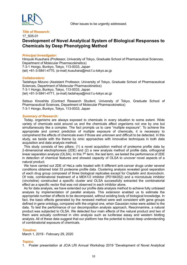

#### **Title of Research:**

#### 17\_S05-01

## **Development of Novel Analytical System of Biological Responses to Chemicals by Deep Phenotyping Method**

#### **Principal Investigator:**

Hiroyuki Kusuhara (Professor, University of Tokyo, Graduate School of Pharmaceutical Sciences, Department of Molecular Pharmacokinetics) 7-3-1 Hongo, Bunkyo, Tokyo, 113-0033, Japan (tel) +81-3-5841-4770, (e-mail) kusuhara@mol.f.u-tokyo.ac.jp

#### *:Collaborators*

Tadahaya Mizuno (Assistant Professor, University of Tokyo, Graduate School of Pharmaceutical Sciences, Department of Molecular Pharmacokinetics) 7-3-1 Hongo, Bunkyo, Tokyo, 113-0033, Japan (tel)  $+81-3-5841-4771$ , (e-mail) tadahaya@mol.f.u-tokyo.ac.jp

Setsuo Kinoshita (Contract Research Student, University of Tokyo, Graduate School of Pharmaceutical Sciences, Department of Molecular Pharmacokinetics) 7-3-1 Hongo, Bunkyo, Tokyo, 113-0033, Japan

#### **Summary of Research:**

Today, organisms are always exposed to chemicals in every situation to some extent. Wide variety of chemicals exist around us and the chemicals affect organisms not one by one but simultaneously like a complex. The fact prompts us to care "multiple exposure". To achieve the appropriate and correct prediction of multiple exposure of chemicals, it is necessary to comprehend the effects of chemicals even if those are unknown and difficult to be detected. In this study, we tackle with the theme by omic approaches with innovative techniques in both data acquisition and data analysis method.

This study consists of two pillars: (1) a novel acquisition method of proteome profile data by 2-dimensional electrophoresis (2DE) and (2) a new analysis method of profile data, orthogonal linear separation analysis (OLSA). In this  $7<sup>th</sup>$  term, the last term, we tested the performance of 2DE in detection of chemical features and showed capacity of OLSA to uncover novel aspects of a natural product.

We have carried out 2DE of HeLa cells treated with 6 different anti-cancer drugs under several conditions obtained total 33 proteome profile data. Clustering analysis revealed good separation of each drug group composed of three biological replicates except for Cisplatin and doxorubicin. Of note, combinatorial treatment of a MEK1/2 inhibitor (PD184352) and a microtubule inhibitor (vincristine) constructed a specific cluster and OLSA successfully extracted the combinatorial effect as a specific vector that was not observed in each inhibitor alone.

As for data analysis, we have extended our profile data analysis method to achieve fully unbiased analysis by implementation of parallel analysis. This extension enabled us to estimate the appropriate number of effects to be decomposed, without existing body of biological knowledge. In fact, the basic effects generated by the renewed method were well consistent with gene groups defined in gene ontology, compared with the original one, when Gaussian noise were added to the data. To test the performance of our decomposition analysis approach, Rescinnamine, a natural product was subjected to OLSA. We detected four main effects of the natural product and two of them were actually confirmed in vitro analysis such as luciferase assay and western blotting analysis. All of these data suggest that our platform has the potential to boost deep understanding of combinatorial exposure of chemicals.

#### *:Timeline*

March 1, 2019 - February 29, 2020

#### *:Topics*

1. Poster presentation at JCIA LRI Annual Workshop 2019 "Development of Novel Analytical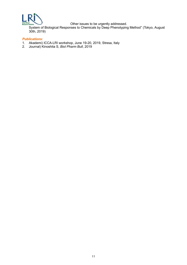

System of Biological Responses to Chemicals by Deep Phenotyping Method" (Tokyo, August  $30th, 2019$ 

- 1. Akademi) ICCA-LRI workshop, June 19-20, 2019, Stresa, Italy
- 2. Journal) Kinoshita S, *Biol Pharm Bull*, 2019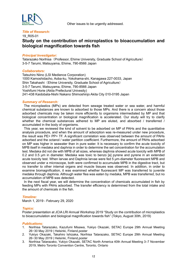

#### **Title of Research:**

#### 19 R05-01

## **Study on the contribution of microplastics to bioaccumulation and fish towards magnification biological**

#### **Principal Investigator:**

Tatarazako Norihisa (Professor, Ehime University, Graduate School of Agriculture) 3-5-7 Tarumi, Matsuyama, Ehime, 790-8566 Japan

#### *:Collaborators*

Tatsuhiro Niino (LSI Medience Corporation) 1000 Kamoshidacho, Aoba-ku, Yokohama-shi, Kanagawa 227-0033, Japan Shin Takahashi (Ehime University, Graduate School of Agriculture) 3-5-7 Tarumi, Matsuyama, Ehime, 790-8566 Japan Yoshifumi Horie (Akita Prefectural Univesity) 241-438 Kaidobata-Nishi Nakano Shimoshinjo Akita City 010-0195 Japan

#### **Summary of Research:**

The microplastics (MPs) are detected from sewage treated water or sea water, and harmful chemical substances are known to adsorbed to those MPs. And there is a concern about those adsorbed chemicals may be taken more efficiently to organisms intermediated by MP and that biological concentration or biological magnification is accelerated. Our study will try to clarify whether the chemical substances adhered to MP are eluted, and absorbed / transferred / accumulated in the body of organisms.

This year, we reviewed the kind of solvent to be adsorbed on MP of PAHs and the quantitative analysis procedure, and when the amount of adsorption was re-measured under new procedure, the result was PE> PP> TF. A significant correlation was observed between the amount of PAHs adsorbed and the octanol / water partition coefficient. Furthermore, the amount of PAHs adsorbed on MP was higher in seawater than in pure water. It is necessary to confirm the acute toxicity of MPB itself in medaka and daphnia in order to determine the set concentration for the accumulation test. Medaka did not die with MPB of all sizes, whereas daphnia showed acute toxicity with MPB of 0.2 and 0.5  $\mu$ m in diameter. Medaka was toxic to benzo [a] pyrene and pyrene in an extended acute toxicity test. When larvae and Daphnia larvae were fed 5  $μm$ -diameter fluorescent MPB and observed under a microscope, both were confirmed to accumulate MPB in the digestive tract, but no transfer to other internal organs and muscle tissues was observed. In addition, in order to examine biomagnification, it was examined whether fluorescent MP was transferred to juvenile medaka through daphnia. Although water flea was eaten by medaka, MPB was transferred, but no accumulation of MPB was detected.

In the next fiscal year, we will determine the concentration of chemicals accumulated in fish by feeding MPs with PAHs adsorbed. The transfer efficiency is determined from the total intake and the amount of chemicals in the fish

#### *:Timeline*

March 1, 2019 - February 29, 2020

#### *:Topics*

Poster presentation at JCIA LRI Annual Workshop 2019 "Study on the contribution of microplastics to bioaccumulation and biological magnification towards fish" (Tokyo, August 30th, 2019)

- 1. Norihisa Tatarazako, Kazufumi Misawa, Yukiyo Okazaki, SETAC Europe 29th Annual Meeting 26−30 May 2019 | Helsinki, Finland, poster
- 2. Yukiyo Okazaki, Takahiro Ishizaka, Norihisa Tatarazako, SETAC Europe 29th Annual Meeting 26−30 May 2019 | Helsinki, Finland, poster
- 3. Norihisa Tatarazako, Yukiyo Okazaki, SETAC North America 40th Annual Meeting 3-7 November 2019, Metro Toronto Convention Centre, Toronto, Ontario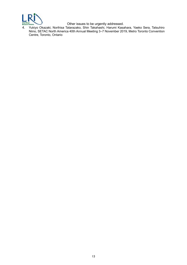

4. Yukiyo Okazaki, Norihisa Tatarazako, Shin Takahashi, Harumi Kasahara, Yaeko Sera, Tatsuhiro Niino, SETAC North America 40th Annual Meeting 3–7 November 2019, Metro Toronto Convention Centre, Toronto, Ontario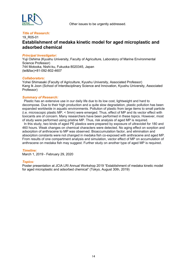

#### **Title of Research:**

## 19 R05-01 **Establishment of medaka kinetic model for aged microplastic and adsorbed** chemical

#### **Principal Investigator:**

Yuji Oshima (Kyushu University, Faculty of Agriculture, Laboratory of Marine Environmental Science Professor) 744 Motooka, Nishi-ku, Fukuoka 8020345, Japan (tel&fax)+81-092-802-4607

#### *:Collaborators*

Yohei Shimasaki (Faculty of Agriculture, Kyushu University, Associated Professor) Kang Ik Joon (School of Interdisciplinary Science and Innovation, Kyushu University, Associated (Professor

#### **Summary of Research:**

Plastic has an extensive use in our daily life due to its low cost, lightweight and hard to decompose. Due to their high production and a quite slow degradation, plastic pollution has been expanded worldwide in aquatic environments. Pollution of plastic from large items to small particle (i.e. microscopic plastic MP,  $\leq$  5mm) were emerged. Thus, effect of MP and its vector effect with toxicants are of concern. Many researchers have been performed in these topics. However, most of study were performed using pristine MP. Thus, risk analysis of aged MP is required.

In this study, two kinds of aged PE plastics were prepared by exposure of ultraviolet for 180 and 460 hours. Weak changes on chemical characters were detected. No aging effect on sorption and adsorption of anthracene to MP was observed. Bioaccumulation factor, and elimination and absorption constants were not changed in medaka fish co-exposed with anthracene and aged MP. From results of one compartment analysis and simulation, vector effect of MP on accumulation of anthracene on medaka fish may suggest. Further study on another type of aged MP is required.

#### *:Timeline*

March 1, 2019 - February 29, 2020

#### *:Topics*

Poster presentation at JCIA LRI Annual Workshop 2019 "Establishment of medaka kinetic model for aged microplastic and adsorbed chemical" (Tokyo, August 30th, 2019)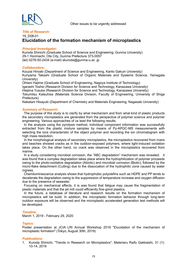

#### **Title of Research:**

## 19 D08-01 **Elucidation of the formation mechanism of microplastics**

#### **Principal Investigator:**

Kuroda Shinichi (Graduate School of Science and Engineering, Gunma University) 29-1 Honmachi, Ota City, Gunma Prefecture 373-0057 (tel) 0276-50-2434 (e-mail) skuroda@gunma-u.ac.jp

#### *:Collaborators*

Kouzai Hiroaki (Department of Science and Engineering, Kanto Gakuin University) Kuriyama Takashi (Graduate School of Organic Materials and Systems Science, Yamagata (University

(The Institute of Technology of Lagoneering Magoya Institute of Technology

(Igarashi Toshio (Research Division for Science and Technology, Kanazawa University)

Hiejima Yusuke (Research Division for Science and Technology, Kanazawa University)

Tokumitsu Katsuhisa (Materials Science Division, Faculty of Engineering, University of Shiga (Prefecture

Nakatani Hisayuki (Department of Chemistry and Materials Engineering, Nagasaki University)

#### **Summary of Research:**

The purpose of this study is to clarify by what mechanism and from what kind of plastic products the secondary microplastics are generated from the perspective of polymer science and polymer engineering. Various approaches of us lead the following results.

In the analysis using the pyrolysis method, individual component information was successfully extracted from the plastic mixture samples by means of Py-APGC-MS measurements with selecting the ions characteristic of the object polymer and recording the ion chromatogram with high mass resolution.

In the morphological analysis of secondary microplastics, the microplastics recovered from rivers and beaches showed cracks as in the outdoor-exposed polymers, where light-induced oxidation takes place. On the other hand, no crack was observed in the microplastics recovered from .marine

In a study considering microbial corrosion, the "ABC degradation" mechanism was revealed: it was found that a complex degradation takes place where the hydrophilization of polymer proceeds owing to the photo-oxidative degradation (Abiotic) and microbial corrosion (Biotic), followed by the micro-flake detachment (Cutting) due to the dissociation of the hydrophilic zone caused by water .ingress

Chemiluminescence analysis shows that hydrophobic polyolefins such as HDPE and PP tends to decelerate the degradation owing to the suppression of temperature increase and oxygen diffusion due to the presence of seawater.

Focusing on mechanical effects, it is was found that fatigue may cause the fragmentation of plastic materials and that the jet mill could efficiently fine-grind plastics.

In the future, a database of literature and research results on the formation mechanism of microplastics will be build. In addition, the microplastic formation behavior through long-term outdoor exposure will be observed and the microplastic accelerated generation test methods will be developed.

#### *:Timeline*

March 1, 2019 - February 29, 2020

#### *:Topics*

Poster presentation at JCIA LRI Annual Workshop 2019 "Elucidation of the mechanism of microplastic formation" (Tokyo, August 30th, 2019)

#### *:Publications*

1. Kuroda Shinichi, "Trends in Research on Microplastics", Materiaru Raifu Gakkaishi, 31 (1): 10-14, 2019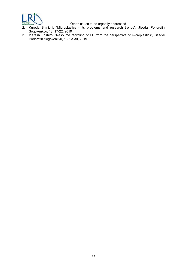

#### deduces to be urgently addressed

- 2. Kuroda Shinichi, "Microplastics its problems and research trends", Jisedai Poriorefin Sogokenkyu, 13: 17-22, 2019
- 3. Igarashi Toshiro, "Resource recycling of PE from the perspective of microplastics", Jisedai Poriorefin Sogokenkyu, 13: 23-30, 2019